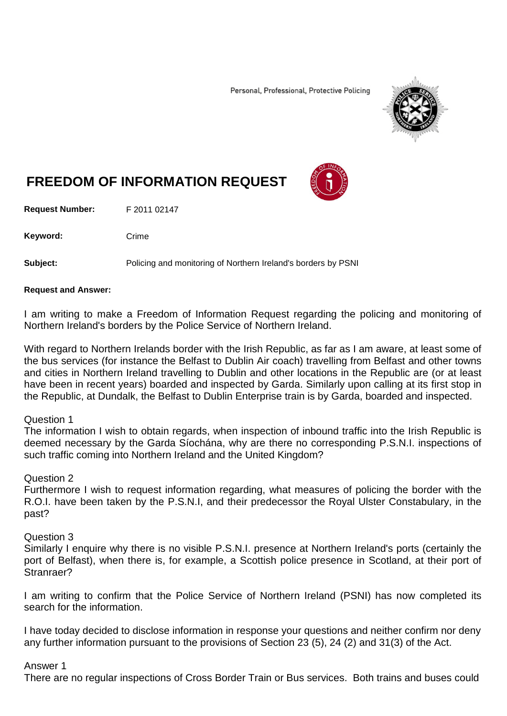Personal, Professional, Protective Policing



# **FREEDOM OF INFORMATION REQUEST**

**Request Number:** F 2011 02147

Keyword: Crime

**Subject:** Policing and monitoring of Northern Ireland's borders by PSNI

#### **Request and Answer:**

I am writing to make a Freedom of Information Request regarding the policing and monitoring of Northern Ireland's borders by the Police Service of Northern Ireland.

With regard to Northern Irelands border with the Irish Republic, as far as I am aware, at least some of the bus services (for instance the Belfast to Dublin Air coach) travelling from Belfast and other towns and cities in Northern Ireland travelling to Dublin and other locations in the Republic are (or at least have been in recent years) boarded and inspected by Garda. Similarly upon calling at its first stop in the Republic, at Dundalk, the Belfast to Dublin Enterprise train is by Garda, boarded and inspected.

## Question 1

The information I wish to obtain regards, when inspection of inbound traffic into the Irish Republic is deemed necessary by the Garda Síochána, why are there no corresponding P.S.N.I. inspections of such traffic coming into Northern Ireland and the United Kingdom?

## Question 2

Furthermore I wish to request information regarding, what measures of policing the border with the R.O.I. have been taken by the P.S.N.I, and their predecessor the Royal Ulster Constabulary, in the past?

## Question 3

Similarly I enquire why there is no visible P.S.N.I. presence at Northern Ireland's ports (certainly the port of Belfast), when there is, for example, a Scottish police presence in Scotland, at their port of Stranraer?

I am writing to confirm that the Police Service of Northern Ireland (PSNI) has now completed its search for the information.

I have today decided to disclose information in response your questions and neither confirm nor deny any further information pursuant to the provisions of Section 23 (5), 24 (2) and 31(3) of the Act.

## Answer 1

There are no regular inspections of Cross Border Train or Bus services. Both trains and buses could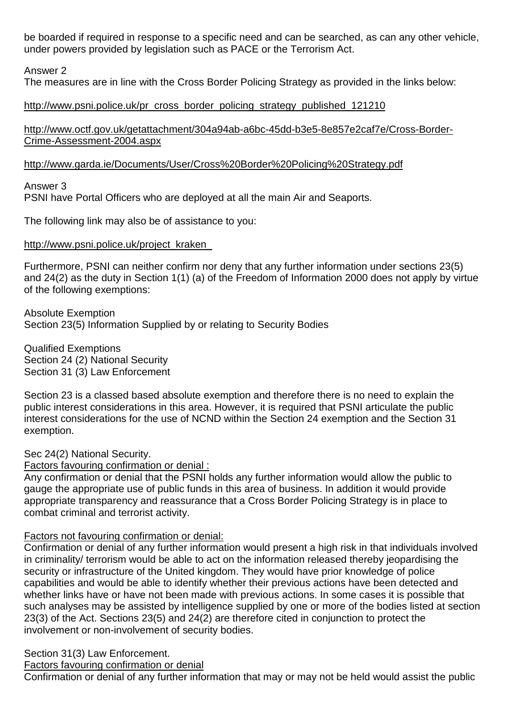be boarded if required in response to a specific need and can be searched, as can any other vehicle, under powers provided by legislation such as PACE or the Terrorism Act.

Answer 2

The measures are in line with the Cross Border Policing Strategy as provided in the links below:

# [http://www.psni.police.uk/pr\\_cross\\_border\\_policing\\_strategy\\_published\\_121210](http://www.psni.police.uk/pr_cross_border_policing_strategy_published_121210)

[http://www.octf.gov.uk/getattachment/304a94ab-a6bc-45dd-b3e5-8e857e2caf7e/Cross-Border-](http://www.octf.gov.uk/getattachment/304a94ab-a6bc-45dd-b3e5-8e857e2caf7e/Cross-Border-Crime-Assessment-2004.aspx)[Crime-Assessment-2004.aspx](http://www.octf.gov.uk/getattachment/304a94ab-a6bc-45dd-b3e5-8e857e2caf7e/Cross-Border-Crime-Assessment-2004.aspx)

# <http://www.garda.ie/Documents/User/Cross%20Border%20Policing%20Strategy.pdf>

Answer 3

PSNI have Portal Officers who are deployed at all the main Air and Seaports.

The following link may also be of assistance to you:

## [http://www.psni.police.uk/project\\_kraken\\_](http://www.psni.police.uk/project_kraken_)

Furthermore, PSNI can neither confirm nor deny that any further information under sections 23(5) and 24(2) as the duty in Section 1(1) (a) of the Freedom of Information 2000 does not apply by virtue of the following exemptions:

Absolute Exemption Section 23(5) Information Supplied by or relating to Security Bodies

Qualified Exemptions Section 24 (2) National Security Section 31 (3) Law Enforcement

Section 23 is a classed based absolute exemption and therefore there is no need to explain the public interest considerations in this area. However, it is required that PSNI articulate the public interest considerations for the use of NCND within the Section 24 exemption and the Section 31 exemption.

Sec 24(2) National Security.

Factors favouring confirmation or denial :

Any confirmation or denial that the PSNI holds any further information would allow the public to gauge the appropriate use of public funds in this area of business. In addition it would provide appropriate transparency and reassurance that a Cross Border Policing Strategy is in place to combat criminal and terrorist activity.

# Factors not favouring confirmation or denial:

Confirmation or denial of any further information would present a high risk in that individuals involved in criminality/ terrorism would be able to act on the information released thereby jeopardising the security or infrastructure of the United kingdom. They would have prior knowledge of police capabilities and would be able to identify whether their previous actions have been detected and whether links have or have not been made with previous actions. In some cases it is possible that such analyses may be assisted by intelligence supplied by one or more of the bodies listed at section 23(3) of the Act. Sections 23(5) and 24(2) are therefore cited in conjunction to protect the involvement or non-involvement of security bodies.

Section 31(3) Law Enforcement.

Factors favouring confirmation or denial

Confirmation or denial of any further information that may or may not be held would assist the public